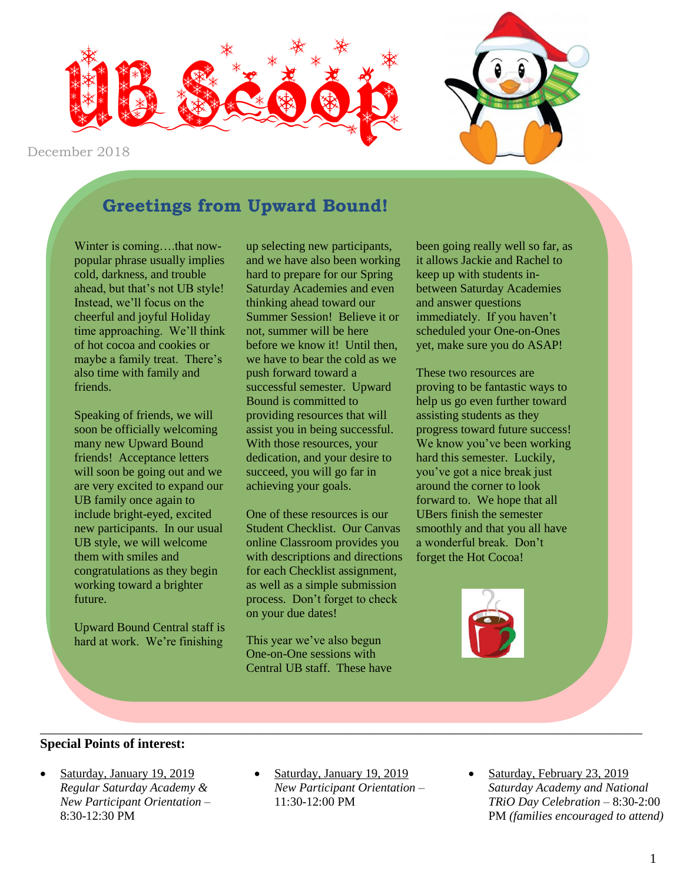

December 2018

# **Greetings from Upward Bound!**

Winter is coming....that nowpopular phrase usually implies cold, darkness, and trouble ahead, but that's not UB style! Instead, we'll focus on the cheerful and joyful Holiday time approaching. We'll think of hot cocoa and cookies or maybe a family treat. There's also time with family and friends.

Speaking of friends, we will soon be officially welcoming many new Upward Bound friends! Acceptance letters will soon be going out and we are very excited to expand our UB family once again to include bright-eyed, excited new participants. In our usual UB style, we will welcome them with smiles and congratulations as they begin working toward a brighter future.

Upward Bound Central staff is hard at work. We're finishing

up selecting new participants, and we have also been working hard to prepare for our Spring Saturday Academies and even thinking ahead toward our Summer Session! Believe it or not, summer will be here before we know it! Until then, we have to bear the cold as we push forward toward a successful semester. Upward Bound is committed to providing resources that will assist you in being successful. With those resources, your dedication, and your desire to succeed, you will go far in achieving your goals.

One of these resources is our Student Checklist. Our Canvas online Classroom provides you with descriptions and directions for each Checklist assignment, as well as a simple submission process. Don't forget to check on your due dates!

This year we've also begun One-on-One sessions with Central UB staff. These have been going really well so far, as it allows Jackie and Rachel to keep up with students inbetween Saturday Academies and answer questions immediately. If you haven't scheduled your One-on-Ones yet, make sure you do ASAP!

These two resources are proving to be fantastic ways to help us go even further toward assisting students as they progress toward future success! We know you've been working hard this semester. Luckily, you've got a nice break just around the corner to look forward to. We hope that all UBers finish the semester smoothly and that you all have a wonderful break. Don't forget the Hot Cocoa!



#### **Special Points of interest:**

- Saturday, January 19, 2019 *Regular Saturday Academy & New Participant Orientation –* 8:30-12:30 PM
- Saturday, January 19, 2019 *New Participant Orientation –* 11:30-12:00 PM

\_\_\_\_\_\_\_\_\_\_\_\_\_\_\_\_\_\_\_\_\_\_\_\_\_\_\_\_\_\_\_\_\_\_\_\_\_\_\_\_\_\_\_\_\_\_\_\_\_\_\_\_\_\_\_\_\_\_\_\_\_\_\_\_\_\_\_\_\_\_\_\_\_\_\_\_\_\_\_\_\_\_\_\_\_\_\_\_\_\_

 Saturday, February 23, 2019 *Saturday Academy and National TRiO Day Celebration –* 8:30-2:00 PM *(families encouraged to attend)*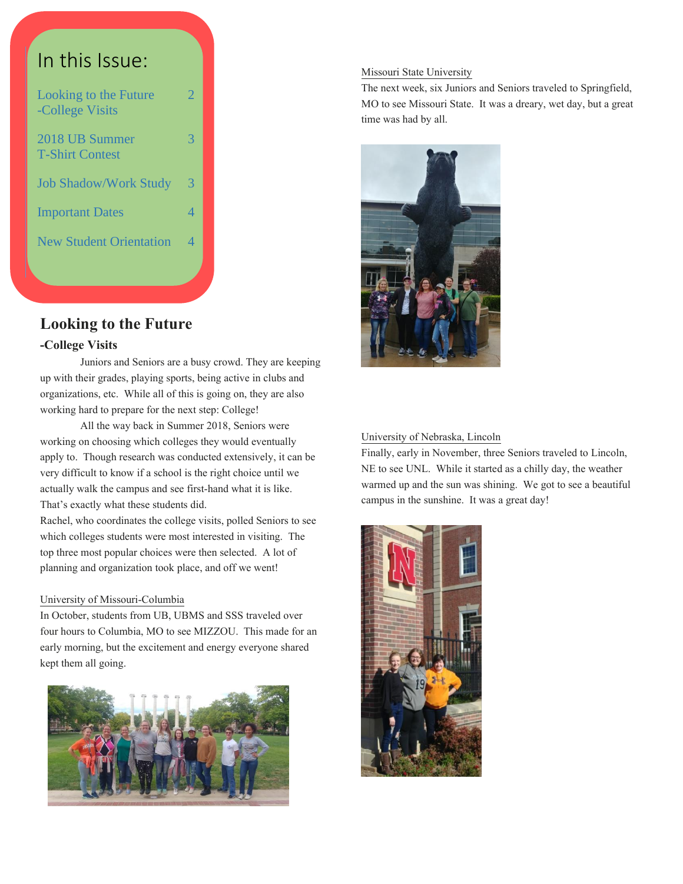

# **Looking to the Future**

#### **-College Visits**

Juniors and Seniors are a busy crowd. They are keeping up with their grades, playing sports, being active in clubs and organizations, etc. While all of this is going on, they are also working hard to prepare for the next step: College!

All the way back in Summer 2018, Seniors were working on choosing which colleges they would eventually apply to. Though research was conducted extensively, it can be very difficult to know if a school is the right choice until we actually walk the campus and see first-hand what it is like. That's exactly what these students did.

Rachel, who coordinates the college visits, polled Seniors to see which colleges students were most interested in visiting. The top three most popular choices were then selected. A lot of planning and organization took place, and off we went!

#### University of Missouri-Columbia

In October, students from UB, UBMS and SSS traveled over four hours to Columbia, MO to see MIZZOU. This made for an early morning, but the excitement and energy everyone shared kept them all going.



#### Missouri State University

The next week, six Juniors and Seniors traveled to Springfield, MO to see Missouri State. It was a dreary, wet day, but a great time was had by all.



#### University of Nebraska, Lincoln

Finally, early in November, three Seniors traveled to Lincoln, NE to see UNL. While it started as a chilly day, the weather warmed up and the sun was shining. We got to see a beautiful campus in the sunshine. It was a great day!

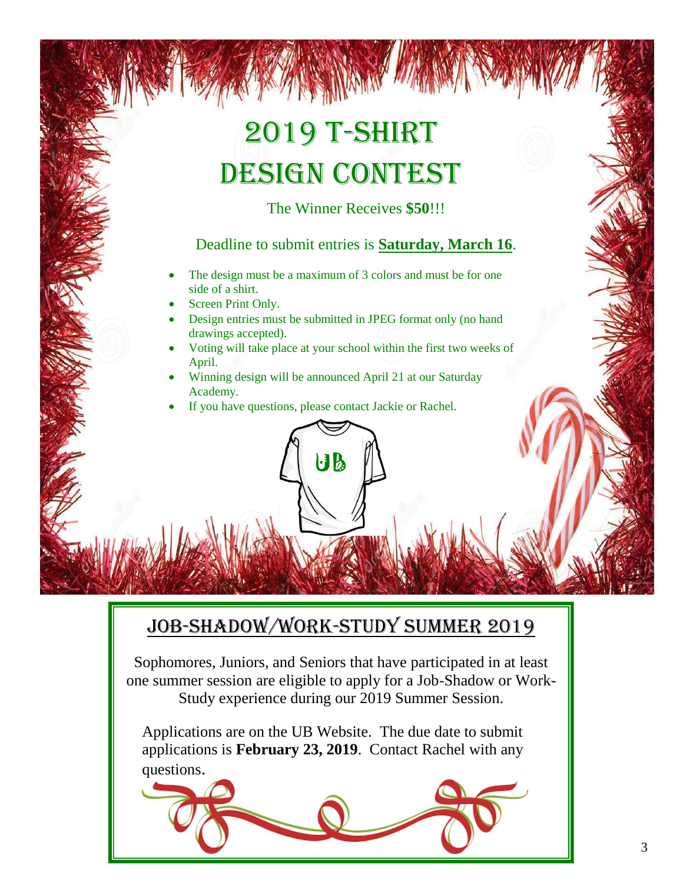# 2019 T-Shirt DESIGN CONTEST

The Winner Receives **\$50**!!!

## Deadline to submit entries is **Saturday, March 16**.

- The design must be a maximum of 3 colors and must be for one side of a shirt.
- Screen Print Only.
- Design entries must be submitted in JPEG format only (no hand drawings accepted).
- Voting will take place at your school within the first two weeks of April.
- Winning design will be announced April 21 at our Saturday Academy.

UB

If you have questions, please contact Jackie or Rachel.

# Job-Shadow/Work-Study Summer 2019

Sophomores, Juniors, and Seniors that have participated in at least one summer session are eligible to apply for a Job-Shadow or Work-Study experience during our 2019 Summer Session.

Applications are on the UB Website. The due date to submit applications is **February 23, 2019**. Contact Rachel with any questions.